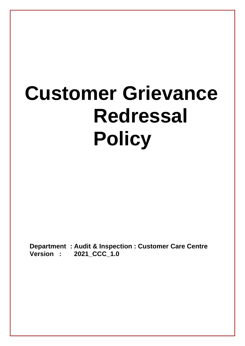# **Customer Grievance Redressal Policy**

**Department : Audit & Inspection : Customer Care Centre Version : 2021\_CCC\_1.0**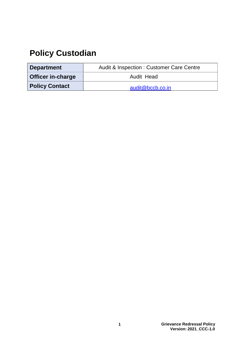### **Policy Custodian**

| <b>Department</b>        | <b>Audit &amp; Inspection: Customer Care Centre</b> |
|--------------------------|-----------------------------------------------------|
| <b>Officer in-charge</b> | Audit Head                                          |
| <b>Policy Contact</b>    | audit@bccb.co.in                                    |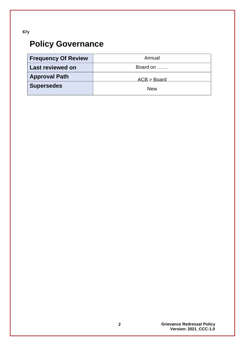**67y**

## **Policy Governance**

| <b>Frequency Of Review</b> | Annual      |
|----------------------------|-------------|
| <b>Last reviewed on</b>    | Board on    |
| <b>Approval Path</b>       | ACB > Board |
| <b>Supersedes</b>          | <b>New</b>  |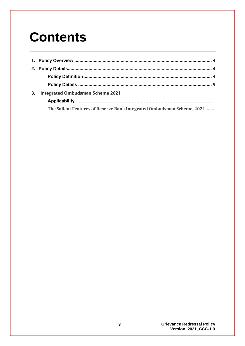## **Contents**

| 3. | <b>Integrated Ombudsman Scheme 2021</b>                                |  |
|----|------------------------------------------------------------------------|--|
|    |                                                                        |  |
|    | The Salient Features of Reserve Bank Integrated Ombudsman Scheme, 2021 |  |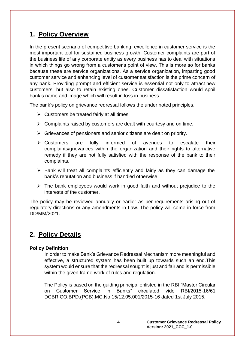#### <span id="page-4-0"></span>**1. Policy Overview**

In the present scenario of competitive banking, excellence in customer service is the most important tool for sustained business growth. Customer complaints are part of the business life of any corporate entity as every business has to deal with situations in which things go wrong from a customer's point of view. This is more so for banks because these are service organizations. As a service organization, imparting good customer service and enhancing level of customer satisfaction is the prime concern of any bank. Providing prompt and efficient service is essential not only to attract new customers, but also to retain existing ones. Customer dissatisfaction would spoil bank's name and image which will result in loss in business.

The bank's policy on grievance redressal follows the under noted principles.

- $\triangleright$  Customers be treated fairly at all times.
- $\triangleright$  Complaints raised by customers are dealt with courtesy and on time.
- ➢ Grievances of pensioners and senior citizens are dealt on priority.
- ➢ Customers are fully informed of avenues to escalate their complaints/grievances within the organization and their rights to alternative remedy if they are not fully satisfied with the response of the bank to their complaints.
- $\triangleright$  Bank will treat all complaints efficiently and fairly as they can damage the bank's reputation and business if handled otherwise.
- $\triangleright$  The bank employees would work in good faith and without prejudice to the interests of the customer.

The policy may be reviewed annually or earlier as per requirements arising out of regulatory directions or any amendments in Law. The policy will come in force from DD/MM/2021.

#### <span id="page-4-1"></span>**2. Policy Details**

#### <span id="page-4-2"></span>**Policy Definition**

In order to make Bank's Grievance Redressal Mechanism more meaningful and effective, a structured system has been built up towards such an end.This system would ensure that the redressal sought is just and fair and is permissible within the given frame-work of rules and regulation.

The Policy is based on the guiding principal enlisted in the RBI "Master Circular on Customer Service in Banks" circulated vide RBI/2015-16/61 DCBR.CO.BPD.(PCB).MC.No.15/12.05.001/2015-16 dated 1st July 2015.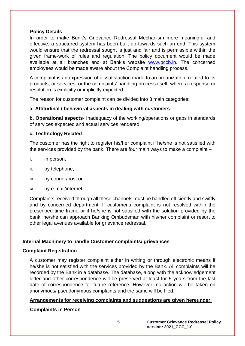#### <span id="page-5-0"></span>**Policy Details**

In order to make Bank's Grievance Redressal Mechanism more meaningful and effective, a structured system has been built up towards such an end. This system would ensure that the redressal sought is just and fair and is permissible within the given frame-work of rules and regulation. The policy document would be made available at all branches and at Bank's website [www.bccb.in.](http://www.bccb.in/) The concerned employees would be made aware about the Complaint handling process.

A complaint is an expression of dissatisfaction made to an organization, related to its products, or services, or the complaints' handling process itself, where a response or resolution is explicitly or implicitly expected.

The reason for customer complaint can be divided into 3 main categories:

#### **a. Attitudinal / behavioral aspects in dealing with customers**

**b. Operational aspects**- Inadequacy of the working/operations or gaps in standards of services expected and actual services rendered.

#### **c. Technology Related**

The customer has the right to register his/her complaint if he/she is not satisfied with the services provided by the bank. There are four main ways to make a complaint –

- i. in person,
- ii. by telephone,
- iii. by courier/post or
- iv. by e-mail/internet.

Complaints received through all these channels must be handled efficiently and swiftly and by concerned department. If customer's complaint is not resolved within the prescribed time frame or if he/she is not satisfied with the solution provided by the bank, he/she can approach Banking Ombudsman with his/her complaint or resort to other legal avenues available for grievance redressal.

#### **Internal Machinery to handle Customer complaints/ grievances**

#### **Complaint Registration**

A customer may register complaint either in writing or through electronic means if he/she is not satisfied with the services provided by the Bank. All complaints will be recorded by the Bank in a database. The database, along with the acknowledgement letter and other correspondence will be preserved at least for 5 years from the last date of correspondence for future reference. However, no action will be taken on anonymous/ pseudonymous complaints and the same will be filed.

#### **Arrangements for receiving complaints and suggestions are given hereunder.**

#### **Complaints in Person**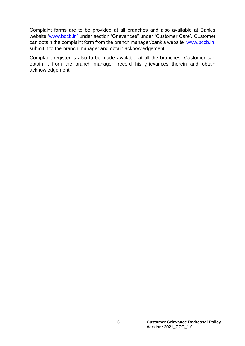Complaint forms are to be provided at all branches and also available at Bank's website ['www.bccb.in'](http://www.bccb.in/) under section 'Grievances" under 'Customer Care'. Customer can obtain the complaint form from the branch manager/bank's website www.bccb.in, submit it to the branch manager and obtain acknowledgement.

Complaint register is also to be made available at all the branches. Customer can obtain it from the branch manager, record his grievances therein and obtain acknowledgement.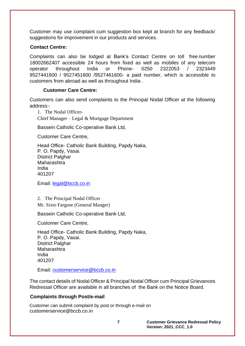Customer may use complaint cum suggestion box kept at branch for any feedback/ suggestions for improvement in our products and services.

#### **Contact Centre:**

Complaints can also be lodged at Bank's Contact Centre on toll free number 18002662407 accessible 24 hours from fixed as well as mobiles of any telecom operator throughout India or Phone- 0250 2322053 / 2323449 9527441600 / 9527451600 /9527461600- a paid number, which is accessible to customers from abroad as well as throughout India .

#### **Customer Care Centre:**

Customers can also send complaints to the Principal Nodal Officer at the following address:-

1. The Nodal Officer-Chief Manager – Legal & Mortgage Department

Bassein Catholic Co-operative Bank Ltd,

Customer Care Centre,

Head Office- Catholic Bank Building, Papdy Naka, P. O. Papdy, Vasai. District Palghar Maharashtra India 401207

Email: [legal@bccb.co.in](mailto:legal@bccb.co.in)

2. The Principal Nodal Officer Mr. Sixto Fargose (General Manger)

Bassein Catholic Co-operative Bank Ltd,

Customer Care Centre,

Head Office- Catholic Bank Building, Papdy Naka, P. O. Papdy, Vasai. District Palghar Maharashtra India 401207

Email: [customerservice@bccb.co.in](mailto:customerservice@bccb.co.in)

The contact details of Nodal Officer & Principal Nodal Officer cum Principal Grievances Redressal Officer are available in all branches of the Bank on the Notice Board.

#### **Complaints through Post/e-mail**

Customer can submit complaint by post or through e-mail on customerservice@bccb.co.in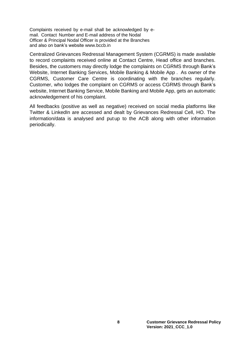Complaints received by e-mail shall be acknowledged by email. Contact Number and E-mail address of the Nodal Officer & Principal Nodal Officer is provided at the Branches and also on bank's website [www.bccb.in](http://www.pnbindia.in/)

Centralized Grievances Redressal Management System (CGRMS) is made available to record complaints received online at Contact Centre, Head office and branches. Besides, the customers may directly lodge the complaints on CGRMS through Bank's Website, Internet Banking Services, Mobile Banking & Mobile App . As owner of the CGRMS, Customer Care Centre is coordinating with the branches regularly. Customer, who lodges the complaint on CGRMS or access CGRMS through Bank's website, Internet Banking Service, Mobile Banking and Mobile App, gets an automatic acknowledgement of his complaint.

All feedbacks (positive as well as negative) received on social media platforms like Twitter & LinkedIn are accessed and dealt by Grievances Redressal Cell, HO. The information/data is analysed and put up to the ACB along with other information periodically.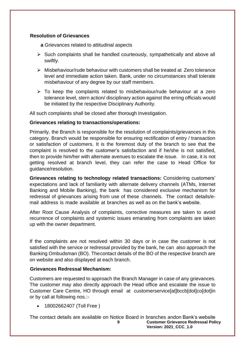#### **Resolution of Grievances**

**a** Grievances related to attitudinal aspects

- ➢ Such complaints shall be handled courteously, sympathetically and above all swiftly.
- ➢ Misbehaviour/rude behaviour with customers shall be treated at Zero tolerance level and immediate action taken. Bank, under no circumstances shall tolerate misbehaviour of any degree by our staff members.
- $\triangleright$  To keep the complaints related to misbehaviour/rude behaviour at a zero tolerance level, stern action/ disciplinary action against the erring officials would be initiated by the respective Disciplinary Authority.

All such complaints shall be closed after thorough Investigation.

#### **Grievances relating to transactions/operations:**

Primarily, the Branch is responsible for the resolution of complaints/grievances in this category. Branch would be responsible for ensuring rectification of entry / transaction or satisfaction of customers. It is the foremost duty of the branch to see that the complaint is resolved to the customer's satisfaction and if he/she is not satisfied, then to provide him/her with alternate avenues to escalate the issue. In case, it is not getting resolved at branch level, they can refer the case to Head Office for guidance/resolution.

**Grievances relating to technology related transactions:** Considering customers' expectations and lack of familiarity with alternate delivery channels (ATMs, Internet Banking and Mobile Banking), the bank has considered exclusive mechanism for redressal of grievances arising from use of these channels. The contact details/email address is made available at branches as well as on the bank's website.

After Root Cause Analysis of complaints, corrective measures are taken to avoid recurrence of complaints and systemic issues emanating from complaints are taken up with the owner department.

If the complaints are not resolved within 30 days or in case the customer is not satisfied with the service or redressal provided by the bank, he can also approach the Banking Ombudsman (BO). The contact details of the BO of the respective branch are on website and also displayed at each branch.

#### **Grievances Redressal Mechanism:**

Customers are requested to approach the Branch Manager in case of any grievances. The customer may also directly approach the Head office and escalate the issue to Customer Care Centre, HO through email at [customerservice\[at\]bccb\[dot\]co\[dot\]in](mailto:care@pnb.co.in) or by call at following nos.:-

• 18002662407 (Toll Free )

**9 Customer Grievance Redressal Policy Version: 2021\_CCC\_1.0** The contact details are available on Notice Board in branches andon Bank's website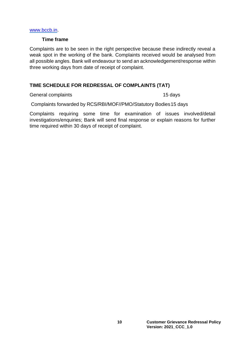#### [www.bccb.in.](http://www.bccb.in/)

#### **Time frame**

Complaints are to be seen in the right perspective because these indirectly reveal a weak spot in the working of the bank. Complaints received would be analysed from all possible angles. Bank will endeavour to send an acknowledgement/response within three working days from date of receipt of complaint.

#### **TIME SCHEDULE FOR REDRESSAL OF COMPLAINTS (TAT)**

General complaints **15 days** 15 days

Complaints forwarded by RCS/RBI/MOF//PMO/Statutory Bodies15 days

Complaints requiring some time for examination of issues involved/detail investigations/enquiries; Bank will send final response or explain reasons for further time required within 30 days of receipt of complaint.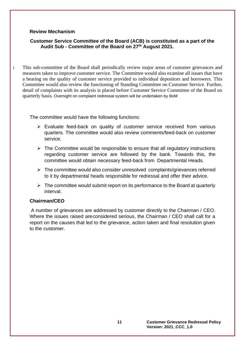#### **Review Mechanism**

**Customer Service Committee of the Board (ACB) is constituted as a part of the Audit Sub - Committee of the Board on 27th August 2021.**

i. This sub-committee of the Board shall periodically review major areas of customer grievances and measures taken to improve customer service. The Committee would also examine all issues that have a bearing on the quality of customer service provided to individual depositors and borrowers. This Committee would also review the functioning of Standing Committee on Customer Service. Further, detail of complaints with its analysis is placed before Customer Service Committee of the Board on quarterly basis. Oversight on complaint redressal system will be undertaken by BoM

The committee would have the following functions:

- ➢ Evaluate feed-back on quality of customer service received from various quarters. The committee would also review comments/feed-back on customer service.
- $\triangleright$  The Committee would be responsible to ensure that all regulatory instructions regarding customer service are followed by the bank. Towards this, the committee would obtain necessary feed-back from Departmental Heads.
- $\triangleright$  The committee would also consider unresolved complaints/grievances referred to it by departmental heads responsible for redressal and offer their advice.
- $\triangleright$  The committee would submit report on its performance to the Board at quarterly interval.

#### **Chairman/CEO**

A number of grievances are addressed by customer directly to the Chairman / CEO. Where the issues raised are considered serious, the Chairman / CEO shall call for a report on the causes that led to the grievance, action taken and final resolution given to the customer.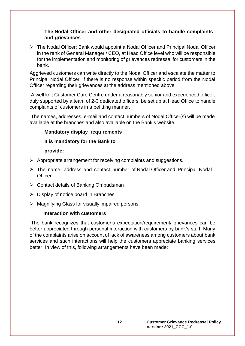#### **The Nodal Officer and other designated officials to handle complaints and grievances**

➢ The Nodal Officer: Bank would appoint a Nodal Officer and Principal Nodal Officer in the rank of General Manager / CEO, at Head Office level who will be responsible for the implementation and monitoring of grievances redressal for customers in the bank.

Aggrieved customers can write directly to the Nodal Officer and escalate the matter to Principal Nodal Officer, if there is no response within specific period from the Nodal Officer regarding their grievances at the address mentioned above

A well knit Customer Care Centre under a reasonably senior and experienced officer, duly supported by a team of 2-3 dedicated officers, be set up at Head Office to handle complaints of customers in a befitting manner.

The names, addresses, e-mail and contact numbers of Nodal Officer(s) will be made available at the branches and also available on the Bank's website.

#### **Mandatory display requirements**

#### **It is mandatory for the Bank to**

#### **provide:**

- ➢ Appropriate arrangement for receiving complaints and suggestions.
- ➢ The name, address and contact number of Nodal Officer and Principal Nodal Officer.
- ➢ Contact details of Banking Ombudsman .
- $\triangleright$  Display of notice board in Branches.
- ➢ Magnifying Glass for visually impaired persons.

#### **Interaction with customers**

The bank recognizes that customer's expectation/requirement/ grievances can be better appreciated through personal interaction with customers by bank's staff. Many of the complaints arise on account of lack of awareness among customers about bank services and such interactions will help the customers appreciate banking services better. In view of this, following arrangements have been made: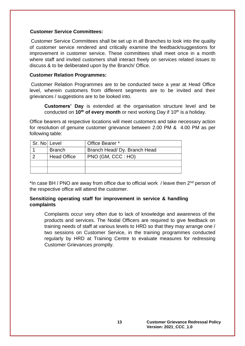#### **Customer Service Committees:**

Customer Service Committees shall be set up in all Branches to look into the quality of customer service rendered and critically examine the feedback/suggestions for improvement in customer service. These committees shall meet once in a month where staff and invited customers shall interact freely on services related issues to discuss & to be deliberated upon by the Branch/ Office.

#### **Customer Relation Programmes:**

Customer Relation Programmes are to be conducted twice a year at Head Office level, wherein customers from different segments are to be invited and their grievances / suggestions are to be looked into.

**Customers' Day** is extended at the organisation structure level and be conducted on **10th of every month** or next working Day if 10th is a holiday.

Office bearers at respective locations will meet customers and take necessary action for resolution of genuine customer grievance between 2.00 PM & 4.00 PM as per following table:

| Sr. No Level |                    | Office Bearer *              |
|--------------|--------------------|------------------------------|
|              | <b>Branch</b>      | Branch Head/ Dy. Branch Head |
|              | <b>Head Office</b> | PNO (GM, CCC : HO)           |
|              |                    |                              |
|              |                    |                              |

\*In case BH / PNO are away from office due to official work / leave then 2<sup>nd</sup> person of the respective office will attend the customer.

#### **Sensitizing operating staff for improvement in service & handling complaints**

Complaints occur very often due to lack of knowledge and awareness of the products and services. The Nodal Officers are required to give feedback on training needs of staff at various levels to HRD so that they may arrange one / two sessions on Customer Service, in the training programmes conducted regularly by HRD at Training Centre to evaluate measures for redressing Customer Grievances promptly.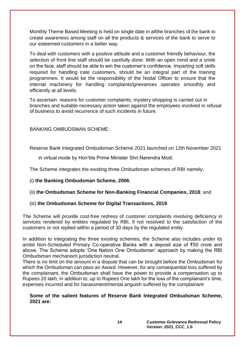Monthly Theme Based Meeting is held on single date in all the branches of the bank to create awareness among staff on all the products & services of the bank to serve to our esteemed customers in a better way.

To deal with customers with a positive attitude and a customer friendly behaviour, the selection of front line staff should be carefully done. With an open mind and a smile on the face, staff should be able to win the customer's confidence. Imparting soft skills required for handling irate customers, should be an integral part of the training programmes. It would be the responsibility of the Nodal Officer to ensure that the internal machinery for handling complaints/grievances operates smoothly and efficiently at all levels.

To ascertain reasons for customer complaints, mystery shopping is carried out in branches and suitable necessary action taken against the employees involved in refusal of business to avoid recurrence of such incidents in future.

BANKING OMBUDSMAN SCHEME:

Reserve Bank Integrated Ombudsman Scheme 2021 launched on 12th November 2021

in virtual mode by Hon'ble Prime Minister Shri.Narendra Modi.

The Scheme integrates the existing three Ombudsman schemes of RBI namely,

#### (i) **[the Banking Ombudsman Scheme, 2006](https://rbidocs.rbi.org.in/rdocs/Content/PDFs/BOS2006_2302017.pdf)**;

(ii) **[the Ombudsman Scheme for Non-Banking Financial Companies, 2018](https://rbidocs.rbi.org.in/rdocs/Content/PDFs/NBFC23022018.pdf)**; and

#### (iii) **[the Ombudsman Scheme for Digital Transactions, 2019](https://rbidocs.rbi.org.in/rdocs/Content/PDFs/OSDT31012019.pdf)**.

The Scheme will provide cost-free redress of customer complaints involving deficiency in services rendered by entities regulated by RBI, if not resolved to the satisfaction of the customers or not replied within a period of 30 days by the regulated entity.

In addition to integrating the three existing schemes, the Scheme also includes under its ambit Non-Scheduled Primary Co-operative Banks with a deposit size of ₹50 crore and above. The Scheme adopts 'One Nation One Ombudsman' approach by making the RBI Ombudsman mechanism jurisdiction neutral.

There is no limit on the amount in a dispute that can be brought before the Ombudsman for which the Ombudsman can pass an Award. However, for any consequential loss suffered by the complainant, the Ombudsman shall have the power to provide a compensation up to Rupees 20 lakh, in addition to, up to Rupees One lakh for the loss of the complainant's time, expenses incurred and for harassment/mental anguish suffered by the complainant

#### **Some of the salient features of Reserve Bank Integrated Ombudsman Scheme, 2021 are:**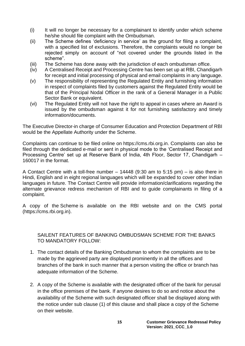- (i) It will no longer be necessary for a complainant to identify under which scheme he/she should file complaint with the Ombudsman.
- (ii) The Scheme defines 'deficiency in service' as the ground for filing a complaint, with a specified list of exclusions. Therefore, the complaints would no longer be rejected simply on account of "not covered under the grounds listed in the scheme".
- (iii) The Scheme has done away with the jurisdiction of each ombudsman office.
- (iv) A Centralised Receipt and Processing Centre has been set up at RBI, Chandigarh for receipt and initial processing of physical and email complaints in any language.
- (v) The responsibility of representing the Regulated Entity and furnishing information in respect of complaints filed by customers against the Regulated Entity would be that of the Principal Nodal Officer in the rank of a General Manager in a Public Sector Bank or equivalent.
- (vi) The Regulated Entity will not have the right to appeal in cases where an Award is issued by the ombudsman against it for not furnishing satisfactory and timely information/documents.

The Executive Director-in charge of Consumer Education and Protection Department of RBI would be the Appellate Authority under the Scheme.

Complaints can continue to be filed online on [https://cms.rbi.org.in.](https://cms.rbi.org.in/) Complaints can also be filed through the dedicated [e-mail](mailto:CRPC@rbi.org.in) or sent in physical mode to the 'Centralised Receipt and Processing Centre' set up at Reserve Bank of India, 4th Floor, Sector 17, Chandigarh – 160017 in the [format.](https://rbidocs.rbi.org.in/rdocs/content/pdfs/RBIOS2021_121121_A.pdf)

A Contact Centre with a toll-free number – 14448 (9:30 am to 5:15 pm) – is also there in Hindi, English and in eight regional languages which will be expanded to cover other Indian languages in future. The Contact Centre will provide information/clarifications regarding the alternate grievance redress mechanism of RBI and to guide complainants in filing of a complaint.

A copy of the [Scheme](https://rbidocs.rbi.org.in/rdocs/content/pdfs/RBIOS2021_121121.pdf) is available on the RBI website and on the CMS portal [\(https://cms.rbi.org.in\)](https://cms.rbi.org.in/).

SAILENT FEATURES OF BANKING OMBUDSMAN SCHEME FOR THE BANKS TO MANDATORY FOLLOW:

- 1. The contact details of the Banking Ombudsman to whom the complaints are to be made by the aggrieved party are displayed prominently in all the offices and branches of the bank in such manner that a person visiting the office or branch has adequate information of the Scheme.
- 2. A copy of the Scheme is available with the designated officer of the bank for perusal in the office premises of the bank. If anyone desires to do so and notice about the availability of the Scheme with such designated officer shall be displayed along with the notice under sub clause (1) of this clause and shall place a copy of the Scheme on their website.